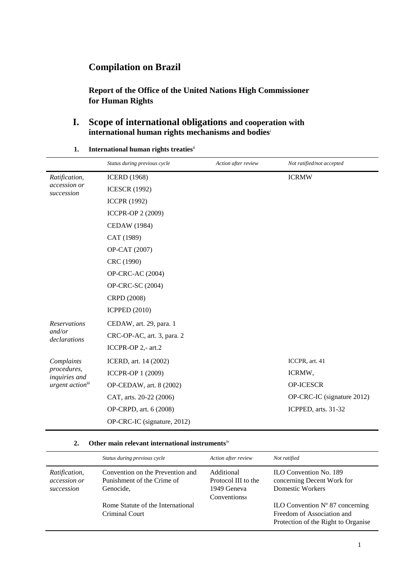# **Compilation on Brazil**

**Report of the Office of the United Nations High Commissioner for Human Rights**

#### **I. Scope of international obligations and cooperation with international human rights mechanisms and bodies**<sup>i</sup>

**1. International human rights treaties**ii

|                                                                            | Status during previous cycle | Action after review | Not ratified/not accepted  |  |  |
|----------------------------------------------------------------------------|------------------------------|---------------------|----------------------------|--|--|
| Ratification,<br>accession or<br>succession                                | <b>ICERD</b> (1968)          |                     | <b>ICRMW</b>               |  |  |
|                                                                            | <b>ICESCR (1992)</b>         |                     |                            |  |  |
|                                                                            | <b>ICCPR (1992)</b>          |                     |                            |  |  |
|                                                                            | ICCPR-OP 2 (2009)            |                     |                            |  |  |
|                                                                            | <b>CEDAW</b> (1984)          |                     |                            |  |  |
|                                                                            | CAT (1989)                   |                     |                            |  |  |
|                                                                            | OP-CAT (2007)                |                     |                            |  |  |
|                                                                            | CRC (1990)                   |                     |                            |  |  |
|                                                                            | OP-CRC-AC (2004)             |                     |                            |  |  |
|                                                                            | OP-CRC-SC (2004)             |                     |                            |  |  |
|                                                                            | CRPD (2008)                  |                     |                            |  |  |
|                                                                            | <b>ICPPED (2010)</b>         |                     |                            |  |  |
| <b>Reservations</b>                                                        | CEDAW, art. 29, para. 1      |                     |                            |  |  |
| and/or<br>declarations                                                     | CRC-OP-AC, art. 3, para. 2   |                     |                            |  |  |
|                                                                            | ICCPR-OP 2,- art.2           |                     |                            |  |  |
| Complaints<br>procedures,<br>inquiries and<br>urgent action <sup>iii</sup> | ICERD, art. 14 (2002)        |                     | ICCPR, art. 41             |  |  |
|                                                                            | ICCPR-OP 1 (2009)            |                     | ICRMW,                     |  |  |
|                                                                            | OP-CEDAW, art. 8 (2002)      |                     | OP-ICESCR                  |  |  |
|                                                                            | CAT, arts. 20-22 (2006)      |                     | OP-CRC-IC (signature 2012) |  |  |
|                                                                            | OP-CRPD, art. 6 (2008)       |                     | ICPPED, arts. 31-32        |  |  |
|                                                                            | OP-CRC-IC (signature, 2012)  |                     |                            |  |  |

#### **2. Other main relevant international instruments**iv

|                                             | Status during previous cycle                                                | Action after review                                                     | Not ratified                                                                                                  |
|---------------------------------------------|-----------------------------------------------------------------------------|-------------------------------------------------------------------------|---------------------------------------------------------------------------------------------------------------|
| Ratification,<br>accession or<br>succession | Convention on the Prevention and<br>Punishment of the Crime of<br>Genocide, | Additional<br>Protocol III to the<br>1949 Geneva<br><b>Conventionss</b> | <b>ILO Convention No. 189</b><br>concerning Decent Work for<br>Domestic Workers                               |
|                                             | Rome Statute of the International<br>Criminal Court                         |                                                                         | ILO Convention $N^{\circ}$ 87 concerning<br>Freedom of Association and<br>Protection of the Right to Organise |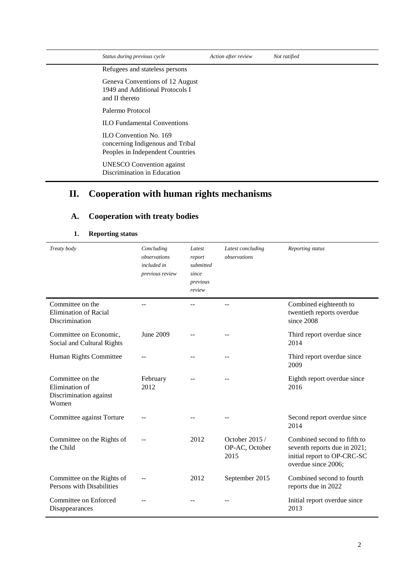| Status during previous cycle                                                                   | Action after review | Not ratified |
|------------------------------------------------------------------------------------------------|---------------------|--------------|
| Refugees and stateless persons                                                                 |                     |              |
| Geneva Conventions of 12 August<br>1949 and Additional Protocols I<br>and II thereto           |                     |              |
| Palermo Protocol                                                                               |                     |              |
| <b>ILO</b> Fundamental Conventions                                                             |                     |              |
| ILO Convention No. 169<br>concerning Indigenous and Tribal<br>Peoples in Independent Countries |                     |              |
| <b>UNESCO</b> Convention against<br>Discrimination in Education                                |                     |              |

# **II. Cooperation with human rights mechanisms**

## **A. Cooperation with treaty bodies**

| Treaty body                                                           | Concluding<br>observations<br>included in<br>previous review | Latest<br>report<br>submitted<br>since<br>previous<br>review | Latest concluding<br>observations         | Reporting status                                                                                                  |
|-----------------------------------------------------------------------|--------------------------------------------------------------|--------------------------------------------------------------|-------------------------------------------|-------------------------------------------------------------------------------------------------------------------|
| Committee on the<br><b>Elimination of Racial</b><br>Discrimination    |                                                              |                                                              |                                           | Combined eighteenth to<br>twentieth reports overdue<br>since 2008                                                 |
| Committee on Economic,<br>Social and Cultural Rights                  | June 2009                                                    |                                                              |                                           | Third report overdue since<br>2014                                                                                |
| Human Rights Committee                                                |                                                              |                                                              |                                           | Third report overdue since<br>2009                                                                                |
| Committee on the<br>Elimination of<br>Discrimination against<br>Women | February<br>2012                                             |                                                              |                                           | Eighth report overdue since<br>2016                                                                               |
| Committee against Torture                                             |                                                              |                                                              |                                           | Second report overdue since<br>2014                                                                               |
| Committee on the Rights of<br>the Child                               |                                                              | 2012                                                         | October $2015/$<br>OP-AC, October<br>2015 | Combined second to fifth to<br>seventh reports due in 2021;<br>initial report to OP-CRC-SC<br>overdue since 2006; |
| Committee on the Rights of<br>Persons with Disabilities               |                                                              | 2012                                                         | September 2015                            | Combined second to fourth<br>reports due in 2022                                                                  |
| Committee on Enforced<br>Disappearances                               |                                                              |                                                              |                                           | Initial report overdue since<br>2013                                                                              |

### **1. Reporting status**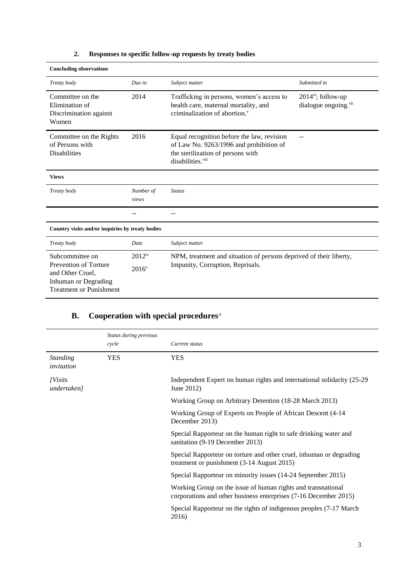| <b>Concluding observations</b>                                                                                                |                           |                                                                                                                                                             |                                                                      |
|-------------------------------------------------------------------------------------------------------------------------------|---------------------------|-------------------------------------------------------------------------------------------------------------------------------------------------------------|----------------------------------------------------------------------|
| Treaty body                                                                                                                   | Due in                    | Subject matter                                                                                                                                              | Submitted in                                                         |
| Committee on the<br>Elimination of<br>Discrimination against<br>Women                                                         | 2014                      | Trafficking in persons, women's access to<br>health care, maternal mortality, and<br>criminalization of abortion.                                           | $2014$ <sup>vi</sup> ; follow-up<br>dialogue ongoing. <sup>vii</sup> |
| Committee on the Rights<br>of Persons with<br><b>Disabilities</b>                                                             | 2016                      | Equal recognition before the law, revision<br>of Law No. 9263/1996 and prohibition of<br>the sterilization of persons with<br>disabilities. <sup>viii</sup> |                                                                      |
| <b>Views</b>                                                                                                                  |                           |                                                                                                                                                             |                                                                      |
| Treaty body                                                                                                                   | Number of<br>views        | <b>Status</b>                                                                                                                                               |                                                                      |
|                                                                                                                               |                           |                                                                                                                                                             |                                                                      |
| Country visits and/or inquiries by treaty bodies                                                                              |                           |                                                                                                                                                             |                                                                      |
| Treaty body                                                                                                                   | Date                      | Subject matter                                                                                                                                              |                                                                      |
| Subcommittee on<br><b>Prevention of Torture</b><br>and Other Cruel,<br>Inhuman or Degrading<br><b>Treatment or Punishment</b> | $2012^{ix}$<br>$2016^{x}$ | NPM, treatment and situation of persons deprived of their liberty,<br>Impunity, Corruption, Reprisals.                                                      |                                                                      |

## **2. Responses to specific follow-up requests by treaty bodies**

# **B.** Cooperation with special procedures<sup>xi</sup>

|                                | Status during previous<br>cycle | Current status                                                                                                                   |
|--------------------------------|---------------------------------|----------------------------------------------------------------------------------------------------------------------------------|
| <b>Standing</b><br>invitation  | <b>YES</b>                      | <b>YES</b>                                                                                                                       |
| <i>[Visits]</i><br>undertaken] |                                 | Independent Expert on human rights and international solidarity (25-29)<br>June 2012)                                            |
|                                |                                 | Working Group on Arbitrary Detention (18-28 March 2013)                                                                          |
|                                |                                 | Working Group of Experts on People of African Descent (4-14)<br>December 2013)                                                   |
|                                |                                 | Special Rapporteur on the human right to safe drinking water and<br>sanitation (9-19 December 2013)                              |
|                                |                                 | Special Rapporteur on torture and other cruel, inhuman or degrading<br>treatment or punishment (3-14 August 2015)                |
|                                |                                 | Special Rapporteur on minority issues (14-24 September 2015)                                                                     |
|                                |                                 | Working Group on the issue of human rights and transnational<br>corporations and other business enterprises (7-16 December 2015) |
|                                |                                 | Special Rapporteur on the rights of indigenous peoples (7-17 March)<br>2016)                                                     |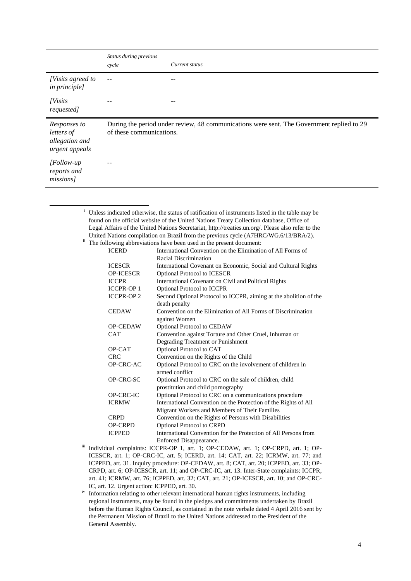|                                                                | Status during previous<br>cycle                                                                                       | Current status |
|----------------------------------------------------------------|-----------------------------------------------------------------------------------------------------------------------|----------------|
| [Visits agreed to<br><i>in principle]</i>                      | $-$                                                                                                                   |                |
| <i>[Visits]</i><br>requested]                                  |                                                                                                                       |                |
| Responses to<br>letters of<br>allegation and<br>urgent appeals | During the period under review, 48 communications were sent. The Government replied to 29<br>of these communications. |                |
| [Follow-up]<br>reports and<br>missions]                        |                                                                                                                       |                |

<sup>i</sup> Unless indicated otherwise, the status of ratification of instruments listed in the table may be found on the official website of the United Nations Treaty Collection database, Office of Legal Affairs of the United Nations Secretariat, [http://treaties.un.org/.](http://treaties.un.org/) Please also refer to the United Nations compilation on Brazil from the previous cycle (A7HRC/WG.6/13/BRA/2).

<sup>ii</sup> The following abbreviations have been used in the present document:

1

| <b>ICERD</b>     | International Convention on the Elimination of All Forms of                        |
|------------------|------------------------------------------------------------------------------------|
|                  | Racial Discrimination                                                              |
| <b>ICESCR</b>    | International Covenant on Economic, Social and Cultural Rights                     |
| <b>OP-ICESCR</b> | Optional Protocol to ICESCR                                                        |
| <b>ICCPR</b>     | International Covenant on Civil and Political Rights                               |
| <b>ICCPR-OP1</b> | <b>Optional Protocol to ICCPR</b>                                                  |
| <b>ICCPR-OP2</b> | Second Optional Protocol to ICCPR, aiming at the abolition of the<br>death penalty |
| <b>CEDAW</b>     | Convention on the Elimination of All Forms of Discrimination                       |
|                  | against Women                                                                      |
| <b>OP-CEDAW</b>  | Optional Protocol to CEDAW                                                         |
| <b>CAT</b>       | Convention against Torture and Other Cruel, Inhuman or                             |
|                  | Degrading Treatment or Punishment                                                  |
| OP-CAT           | Optional Protocol to CAT                                                           |
| <b>CRC</b>       | Convention on the Rights of the Child                                              |
| OP-CRC-AC        | Optional Protocol to CRC on the involvement of children in                         |
|                  | armed conflict                                                                     |
| OP-CRC-SC        | Optional Protocol to CRC on the sale of children, child                            |
|                  | prostitution and child pornography                                                 |
| OP-CRC-IC        | Optional Protocol to CRC on a communications procedure                             |
| <b>ICRMW</b>     | International Convention on the Protection of the Rights of All                    |
|                  | Migrant Workers and Members of Their Families                                      |
| <b>CRPD</b>      | Convention on the Rights of Persons with Disabilities                              |
| <b>OP-CRPD</b>   | Optional Protocol to CRPD                                                          |
| <b>ICPPED</b>    | International Convention for the Protection of All Persons from                    |
|                  | Enforced Disappearance.                                                            |

- iii Individual complaints: ICCPR-OP 1, art. 1; OP-CEDAW, art. 1; OP-CRPD, art. 1; OP-ICESCR, art. 1; OP-CRC-IC, art. 5; ICERD, art. 14; CAT, art. 22; ICRMW, art. 77; and ICPPED, art. 31. Inquiry procedure: OP-CEDAW, art. 8; CAT, art. 20; ICPPED, art. 33; OP-CRPD, art. 6; OP-ICESCR, art. 11; and OP-CRC-IC, art. 13. Inter-State complaints: ICCPR, art. 41; ICRMW, art. 76; ICPPED, art. 32; CAT, art. 21; OP-ICESCR, art. 10; and OP-CRC-IC, art. 12. Urgent action: ICPPED, art. 30.
- iv Information relating to other relevant international human rights instruments, including regional instruments, may be found in the pledges and commitments undertaken by Brazil before the Human Rights Council, as contained in the note verbale dated 4 April 2016 sent by the Permanent Mission of Brazil to the United Nations addressed to the President of the General Assembly.